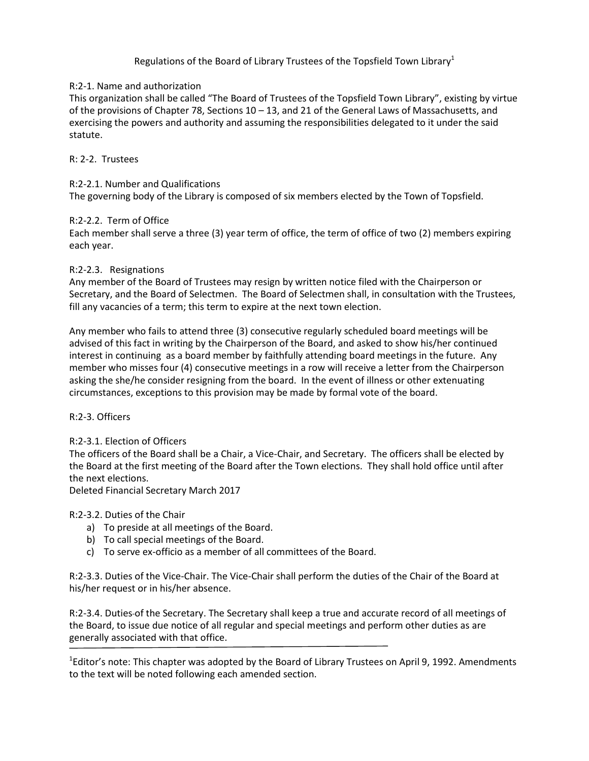# Regulations of the Board of Library Trustees of the Topsfield Town Library $^1$

## R:2-1. Name and authorization

This organization shall be called "The Board of Trustees of the Topsfield Town Library", existing by virtue of the provisions of Chapter 78, Sections 10 – 13, and 21 of the General Laws of Massachusetts, and exercising the powers and authority and assuming the responsibilities delegated to it under the said statute.

## R: 2-2. Trustees

## R:2-2.1. Number and Qualifications

The governing body of the Library is composed of six members elected by the Town of Topsfield.

### R:2-2.2. Term of Office

Each member shall serve a three (3) year term of office, the term of office of two (2) members expiring each year.

## R:2-2.3. Resignations

Any member of the Board of Trustees may resign by written notice filed with the Chairperson or Secretary, and the Board of Selectmen. The Board of Selectmen shall, in consultation with the Trustees, fill any vacancies of a term; this term to expire at the next town election.

Any member who fails to attend three (3) consecutive regularly scheduled board meetings will be advised of this fact in writing by the Chairperson of the Board, and asked to show his/her continued interest in continuing as a board member by faithfully attending board meetings in the future. Any member who misses four (4) consecutive meetings in a row will receive a letter from the Chairperson asking the she/he consider resigning from the board. In the event of illness or other extenuating circumstances, exceptions to this provision may be made by formal vote of the board.

### R:2-3. Officers

### R:2-3.1. Election of Officers

The officers of the Board shall be a Chair, a Vice-Chair, and Secretary. The officers shall be elected by the Board at the first meeting of the Board after the Town elections. They shall hold office until after the next elections.

Deleted Financial Secretary March 2017

### R:2-3.2. Duties of the Chair

- a) To preside at all meetings of the Board.
- b) To call special meetings of the Board.
- c) To serve ex-officio as a member of all committees of the Board.

R:2-3.3. Duties of the Vice-Chair. The Vice-Chair shall perform the duties of the Chair of the Board at his/her request or in his/her absence.

R:2-3.4. Duties of the Secretary. The Secretary shall keep a true and accurate record of all meetings of the Board, to issue due notice of all regular and special meetings and perform other duties as are generally associated with that office.

<sup>1</sup>Editor's note: This chapter was adopted by the Board of Library Trustees on April 9, 1992. Amendments to the text will be noted following each amended section.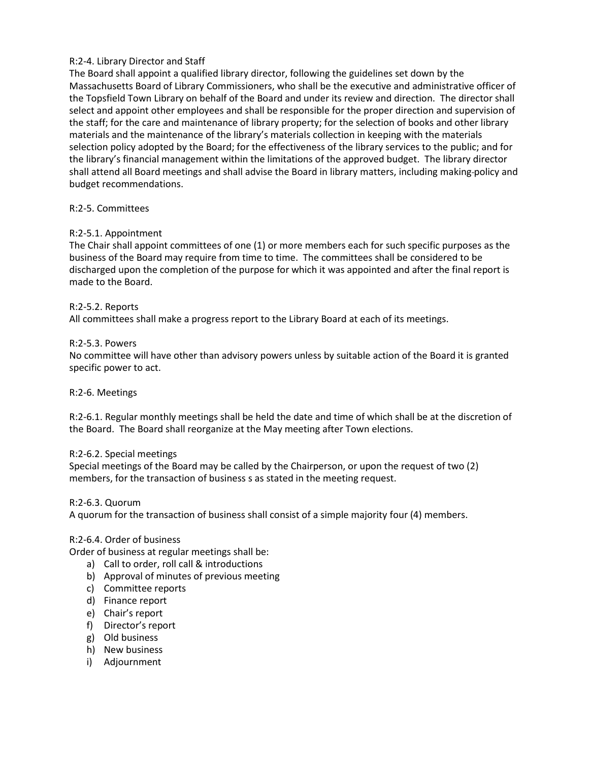## R:2-4. Library Director and Staff

The Board shall appoint a qualified library director, following the guidelines set down by the Massachusetts Board of Library Commissioners, who shall be the executive and administrative officer of the Topsfield Town Library on behalf of the Board and under its review and direction. The director shall select and appoint other employees and shall be responsible for the proper direction and supervision of the staff; for the care and maintenance of library property; for the selection of books and other library materials and the maintenance of the library's materials collection in keeping with the materials selection policy adopted by the Board; for the effectiveness of the library services to the public; and for the library's financial management within the limitations of the approved budget. The library director shall attend all Board meetings and shall advise the Board in library matters, including making-policy and budget recommendations.

### R:2-5. Committees

## R:2-5.1. Appointment

The Chair shall appoint committees of one (1) or more members each for such specific purposes as the business of the Board may require from time to time. The committees shall be considered to be discharged upon the completion of the purpose for which it was appointed and after the final report is made to the Board.

### R:2-5.2. Reports

All committees shall make a progress report to the Library Board at each of its meetings.

#### R:2-5.3. Powers

No committee will have other than advisory powers unless by suitable action of the Board it is granted specific power to act.

#### R:2-6. Meetings

R:2-6.1. Regular monthly meetings shall be held the date and time of which shall be at the discretion of the Board. The Board shall reorganize at the May meeting after Town elections.

#### R:2-6.2. Special meetings

Special meetings of the Board may be called by the Chairperson, or upon the request of two (2) members, for the transaction of business s as stated in the meeting request.

#### R:2-6.3. Quorum

A quorum for the transaction of business shall consist of a simple majority four (4) members.

### R:2-6.4. Order of business

Order of business at regular meetings shall be:

- a) Call to order, roll call & introductions
- b) Approval of minutes of previous meeting
- c) Committee reports
- d) Finance report
- e) Chair's report
- f) Director's report
- g) Old business
- h) New business
- i) Adjournment